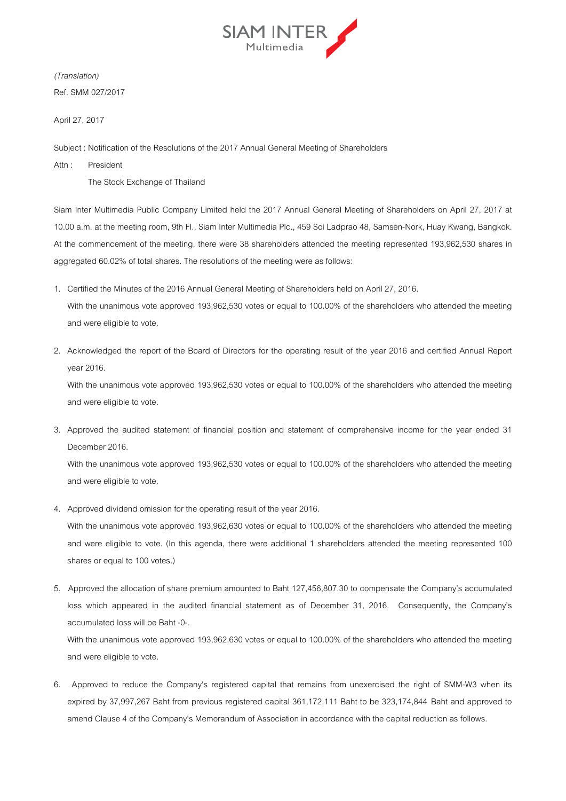

*(Translation)*  Ref. SMM 027/2017

April 27, 2017

Subject : Notification of the Resolutions of the 2017 Annual General Meeting of Shareholders

Attn : President

The Stock Exchange of Thailand

Siam Inter Multimedia Public Company Limited held the 2017 Annual General Meeting of Shareholders on April 27, 2017 at 10.00 a.m. at the meeting room, 9th Fl., Siam Inter Multimedia Plc., 459 Soi Ladprao 48, Samsen-Nork, Huay Kwang, Bangkok. At the commencement of the meeting, there were 38 shareholders attended the meeting represented 193,962,530 shares in aggregated 60.02% of total shares. The resolutions of the meeting were as follows:

- 1. Certified the Minutes of the 2016 Annual General Meeting of Shareholders held on April 27, 2016. With the unanimous vote approved 193,962,530 votes or equal to 100.00% of the shareholders who attended the meeting and were eligible to vote.
- 2. Acknowledged the report of the Board of Directors for the operating result of the year 2016 and certified Annual Report year 2016.

With the unanimous vote approved 193,962,530 votes or equal to 100.00% of the shareholders who attended the meeting and were eligible to vote.

3. Approved the audited statement of financial position and statement of comprehensive income for the year ended 31 December 2016.

 With the unanimous vote approved 193,962,530 votes or equal to 100.00% of the shareholders who attended the meeting and were eligible to vote.

4. Approved dividend omission for the operating result of the year 2016.

 With the unanimous vote approved 193,962,630 votes or equal to 100.00% of the shareholders who attended the meeting and were eligible to vote. (In this agenda, there were additional 1 shareholders attended the meeting represented 100 shares or equal to 100 votes.)

5. Approved the allocation of share premium amounted to Baht 127,456,807.30 to compensate the Company's accumulated loss which appeared in the audited financial statement as of December 31, 2016. Consequently, the Company's accumulated loss will be Baht -0-.

 With the unanimous vote approved 193,962,630 votes or equal to 100.00% of the shareholders who attended the meeting and were eligible to vote.

6. Approved to reduce the Company's registered capital that remains from unexercised the right of SMM-W3 when its expired by 37,997,267 Baht from previous registered capital 361,172,111 Baht to be 323,174,844 Baht and approved to amend Clause 4 of the Company's Memorandum of Association in accordance with the capital reduction as follows.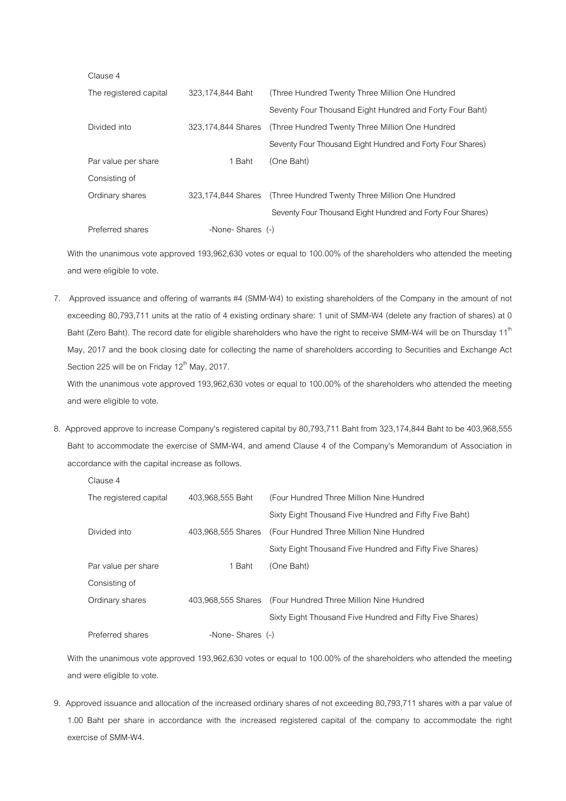| Giause 4               |                    |                                                                    |
|------------------------|--------------------|--------------------------------------------------------------------|
| The registered capital | 323,174,844 Baht   | (Three Hundred Twenty Three Million One Hundred                    |
|                        |                    | Seventy Four Thousand Eight Hundred and Forty Four Baht)           |
| Divided into           | 323,174,844 Shares | (Three Hundred Twenty Three Million One Hundred                    |
|                        |                    | Seventy Four Thousand Eight Hundred and Forty Four Shares)         |
| Par value per share    | 1 Baht             | (One Baht)                                                         |
| Consisting of          |                    |                                                                    |
| Ordinary shares        |                    | 323,174,844 Shares (Three Hundred Twenty Three Million One Hundred |
|                        |                    | Seventy Four Thousand Eight Hundred and Forty Four Shares)         |
| Preferred shares       | -None-Shares (-)   |                                                                    |

 $C$ lause 4

and were eligible to vote.

Clause 4

 With the unanimous vote approved 193,962,630 votes or equal to 100.00% of the shareholders who attended the meeting and were eligible to vote.

7. Approved issuance and offering of warrants #4 (SMM-W4) to existing shareholders of the Company in the amount of not exceeding 80,793,711 units at the ratio of 4 existing ordinary share: 1 unit of SMM-W4 (delete any fraction of shares) at 0 Baht (Zero Baht). The record date for eligible shareholders who have the right to receive SMM-W4 will be on Thursday 11<sup>th</sup> May, 2017 and the book closing date for collecting the name of shareholders according to Securities and Exchange Act Section 225 will be on Friday 12<sup>th</sup> May, 2017. With the unanimous vote approved 193,962,630 votes or equal to 100.00% of the shareholders who attended the meeting

8. Approved approve to increase Company's registered capital by 80,793,711 Baht from 323,174,844 Baht to be 403,968,555

Baht to accommodate the exercise of SMM-W4, and amend Clause 4 of the Company's Memorandum of Association in accordance with the capital increase as follows.

| The registered capital | 403.968.555 Baht | (Four Hundred Three Million Nine Hundred                    |
|------------------------|------------------|-------------------------------------------------------------|
|                        |                  | Sixty Eight Thousand Five Hundred and Fifty Five Baht)      |
| Divided into           |                  | 403,968,555 Shares (Four Hundred Three Million Nine Hundred |
|                        |                  | Sixty Eight Thousand Five Hundred and Fifty Five Shares)    |
| Par value per share    | 1 Baht           | (One Baht)                                                  |
| Consisting of          |                  |                                                             |
| Ordinary shares        |                  | 403,968,555 Shares (Four Hundred Three Million Nine Hundred |
|                        |                  | Sixty Eight Thousand Five Hundred and Fifty Five Shares)    |
| Preferred shares       | -None-Shares (-) |                                                             |

 With the unanimous vote approved 193,962,630 votes or equal to 100.00% of the shareholders who attended the meeting and were eligible to vote.

9. Approved issuance and allocation of the increased ordinary shares of not exceeding 80,793,711 shares with a par value of 1.00 Baht per share in accordance with the increased registered capital of the company to accommodate the right exercise of SMM-W4.